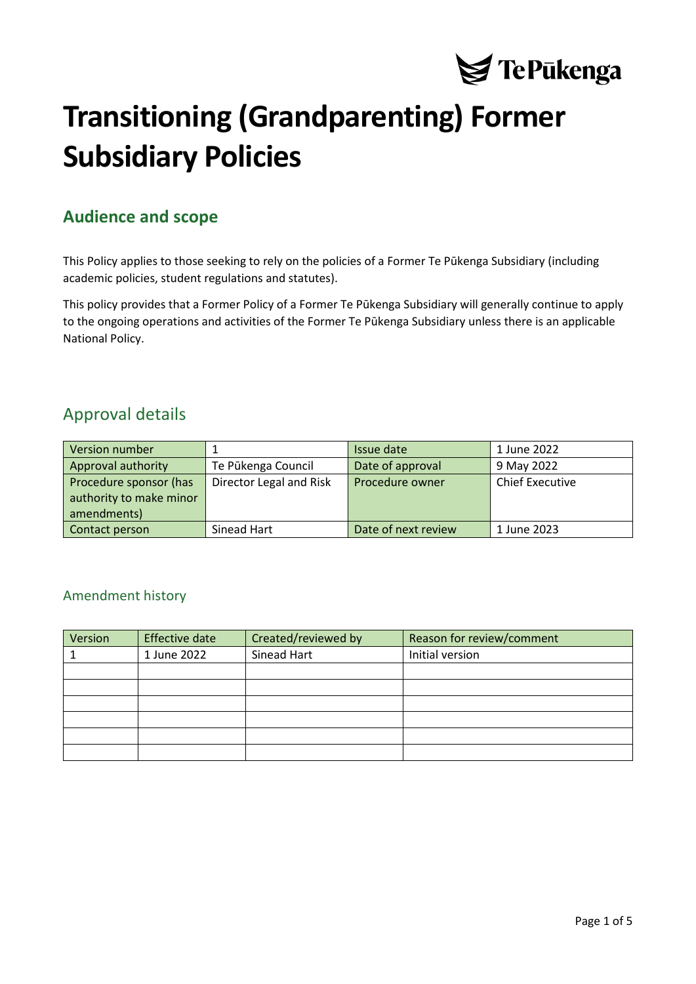

# **Transitioning (Grandparenting) Former Subsidiary Policies**

## <span id="page-0-0"></span>**Audience and scope**

This Policy applies to those seeking to rely on the policies of a Former Te Pūkenga Subsidiary (including academic policies, student regulations and statutes).

This policy provides that a Former Policy of a Former Te Pūkenga Subsidiary will generally continue to apply to the ongoing operations and activities of the Former Te Pūkenga Subsidiary unless there is an applicable National Policy.

### <span id="page-0-1"></span>Approval details

| Version number          |                         | Issue date          | 1 June 2022            |
|-------------------------|-------------------------|---------------------|------------------------|
| Approval authority      | Te Pūkenga Council      | Date of approval    | 9 May 2022             |
| Procedure sponsor (has  | Director Legal and Risk | Procedure owner     | <b>Chief Executive</b> |
| authority to make minor |                         |                     |                        |
| amendments)             |                         |                     |                        |
| Contact person          | Sinead Hart             | Date of next review | 1 June 2023            |

#### <span id="page-0-2"></span>Amendment history

| Version | <b>Effective date</b> | Created/reviewed by | Reason for review/comment |
|---------|-----------------------|---------------------|---------------------------|
|         | 1 June 2022           | Sinead Hart         | Initial version           |
|         |                       |                     |                           |
|         |                       |                     |                           |
|         |                       |                     |                           |
|         |                       |                     |                           |
|         |                       |                     |                           |
|         |                       |                     |                           |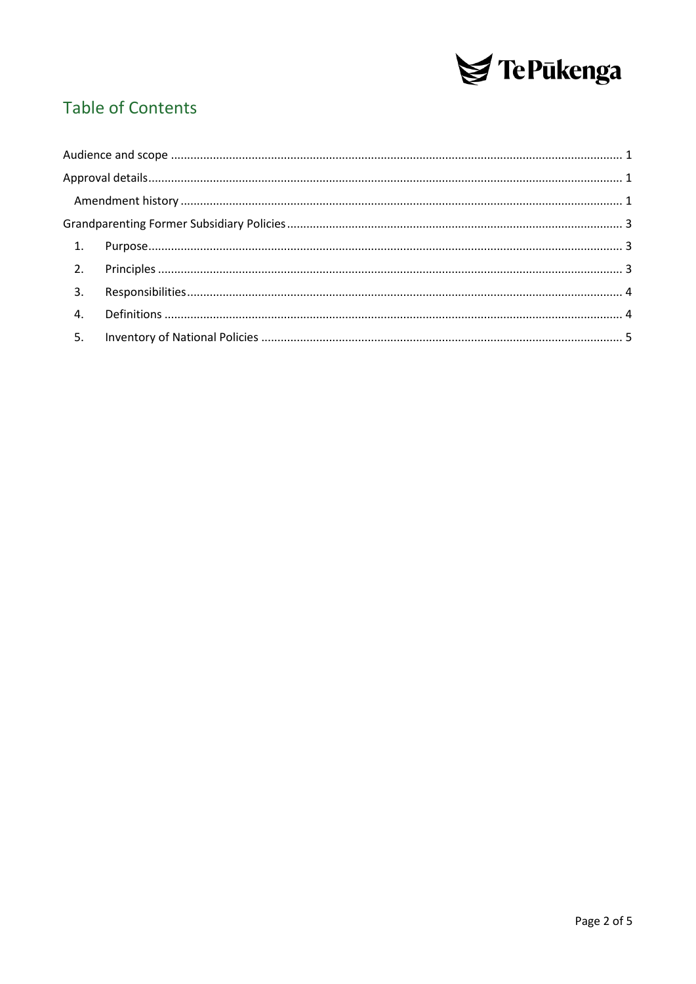

# **Table of Contents**

| 3. |  |
|----|--|
|    |  |
| 5. |  |
|    |  |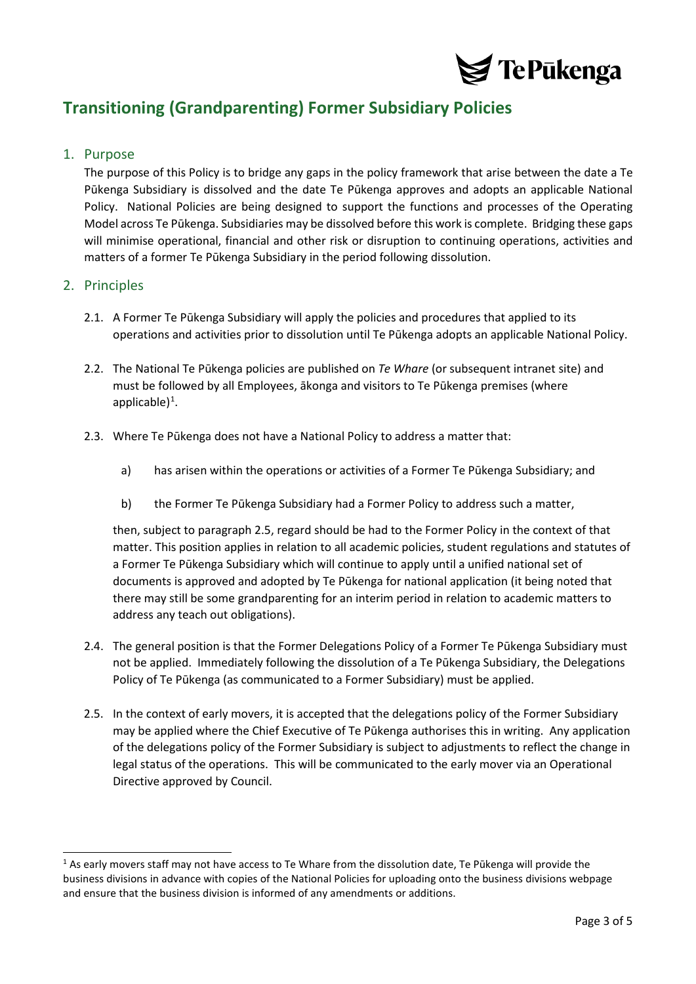

## <span id="page-2-0"></span>**Transitioning (Grandparenting) Former Subsidiary Policies**

#### <span id="page-2-1"></span>1. Purpose

The purpose of this Policy is to bridge any gaps in the policy framework that arise between the date a Te Pūkenga Subsidiary is dissolved and the date Te Pūkenga approves and adopts an applicable National Policy. National Policies are being designed to support the functions and processes of the Operating Model across Te Pūkenga. Subsidiaries may be dissolved before this work is complete. Bridging these gaps will minimise operational, financial and other risk or disruption to continuing operations, activities and matters of a former Te Pūkenga Subsidiary in the period following dissolution.

#### <span id="page-2-2"></span>2. Principles

- 2.1. A Former Te Pūkenga Subsidiary will apply the policies and procedures that applied to its operations and activities prior to dissolution until Te Pūkenga adopts an applicable National Policy.
- 2.2. The National Te Pūkenga policies are published on *Te Whare* (or subsequent intranet site) and must be followed by all Employees, ākonga and visitors to Te Pūkenga premises (where applicable $)^{1}$  $)^{1}$  $)^{1}$ .
- 2.3. Where Te Pūkenga does not have a National Policy to address a matter that:
	- a) has arisen within the operations or activities of a Former Te Pūkenga Subsidiary; and
	- b) the Former Te Pūkenga Subsidiary had a Former Policy to address such a matter,

then, subject to paragraph [2.5,](#page-2-3) regard should be had to the Former Policy in the context of that matter. This position applies in relation to all academic policies, student regulations and statutes of a Former Te Pūkenga Subsidiary which will continue to apply until a unified national set of documents is approved and adopted by Te Pūkenga for national application (it being noted that there may still be some grandparenting for an interim period in relation to academic matters to address any teach out obligations).

- 2.4. The general position is that the Former Delegations Policy of a Former Te Pūkenga Subsidiary must not be applied. Immediately following the dissolution of a Te Pūkenga Subsidiary, the Delegations Policy of Te Pūkenga (as communicated to a Former Subsidiary) must be applied.
- <span id="page-2-3"></span>2.5. In the context of early movers, it is accepted that the delegations policy of the Former Subsidiary may be applied where the Chief Executive of Te Pūkenga authorises this in writing. Any application of the delegations policy of the Former Subsidiary is subject to adjustments to reflect the change in legal status of the operations. This will be communicated to the early mover via an Operational Directive approved by Council.

<span id="page-2-4"></span><sup>&</sup>lt;sup>1</sup> As early movers staff may not have access to Te Whare from the dissolution date, Te Pūkenga will provide the business divisions in advance with copies of the National Policies for uploading onto the business divisions webpage and ensure that the business division is informed of any amendments or additions.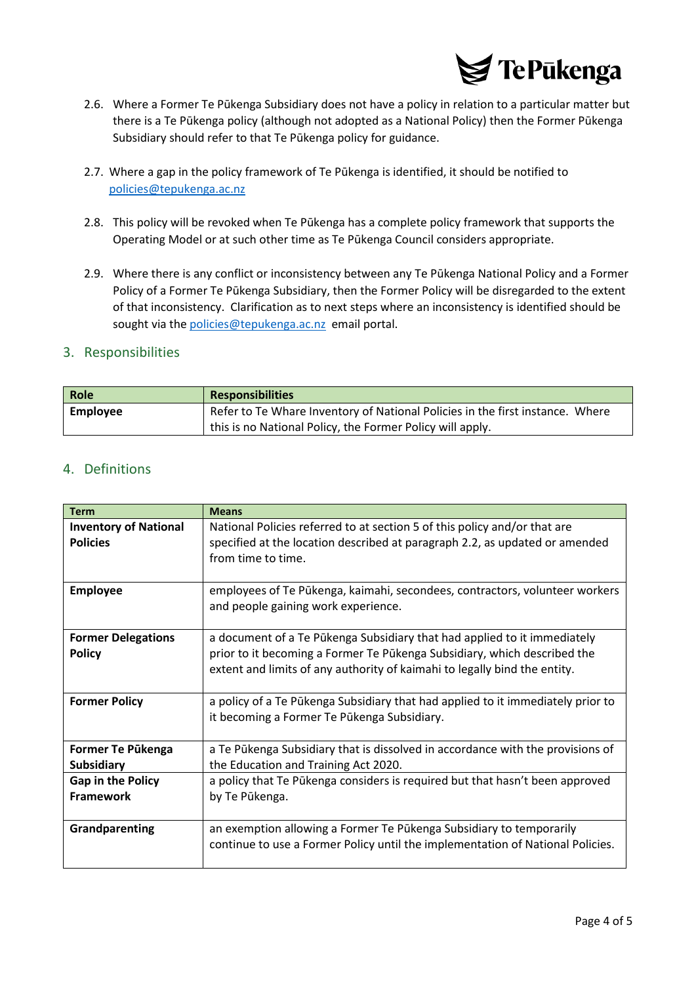

- 2.6. Where a Former Te Pūkenga Subsidiary does not have a policy in relation to a particular matter but there is a Te Pūkenga policy (although not adopted as a National Policy) then the Former Pūkenga Subsidiary should refer to that Te Pūkenga policy for guidance.
- 2.7. Where a gap in the policy framework of Te Pūkenga is identified, it should be notified to [policies@tepukenga.ac.nz](mailto:policies@tepukenga.ac.nz)
- 2.8. This policy will be revoked when Te Pūkenga has a complete policy framework that supports the Operating Model or at such other time as Te Pūkenga Council considers appropriate.
- 2.9. Where there is any conflict or inconsistency between any Te Pūkenga National Policy and a Former Policy of a Former Te Pūkenga Subsidiary, then the Former Policy will be disregarded to the extent of that inconsistency. Clarification as to next steps where an inconsistency is identified should be sought via the [policies@tepukenga.ac.nz](mailto:policies@tepukenga.ac.nz) email portal.

#### <span id="page-3-0"></span>3. Responsibilities

| Role     | <b>Responsibilities</b>                                                       |
|----------|-------------------------------------------------------------------------------|
| Employee | Refer to Te Whare Inventory of National Policies in the first instance. Where |
|          | this is no National Policy, the Former Policy will apply.                     |

#### <span id="page-3-1"></span>4. Definitions

| <b>Term</b>                  | <b>Means</b>                                                                    |
|------------------------------|---------------------------------------------------------------------------------|
| <b>Inventory of National</b> | National Policies referred to at section 5 of this policy and/or that are       |
| <b>Policies</b>              | specified at the location described at paragraph 2.2, as updated or amended     |
|                              | from time to time.                                                              |
|                              |                                                                                 |
| <b>Employee</b>              | employees of Te Pūkenga, kaimahi, secondees, contractors, volunteer workers     |
|                              | and people gaining work experience.                                             |
|                              |                                                                                 |
| <b>Former Delegations</b>    | a document of a Te Pūkenga Subsidiary that had applied to it immediately        |
| <b>Policy</b>                | prior to it becoming a Former Te Pūkenga Subsidiary, which described the        |
|                              | extent and limits of any authority of kaimahi to legally bind the entity.       |
|                              |                                                                                 |
| <b>Former Policy</b>         | a policy of a Te Pūkenga Subsidiary that had applied to it immediately prior to |
|                              | it becoming a Former Te Pūkenga Subsidiary.                                     |
|                              |                                                                                 |
| Former Te Pükenga            | a Te Pūkenga Subsidiary that is dissolved in accordance with the provisions of  |
| <b>Subsidiary</b>            | the Education and Training Act 2020.                                            |
| <b>Gap in the Policy</b>     | a policy that Te Pūkenga considers is required but that hasn't been approved    |
| <b>Framework</b>             | by Te Pūkenga.                                                                  |
|                              |                                                                                 |
| Grandparenting               | an exemption allowing a Former Te Pukenga Subsidiary to temporarily             |
|                              | continue to use a Former Policy until the implementation of National Policies.  |
|                              |                                                                                 |